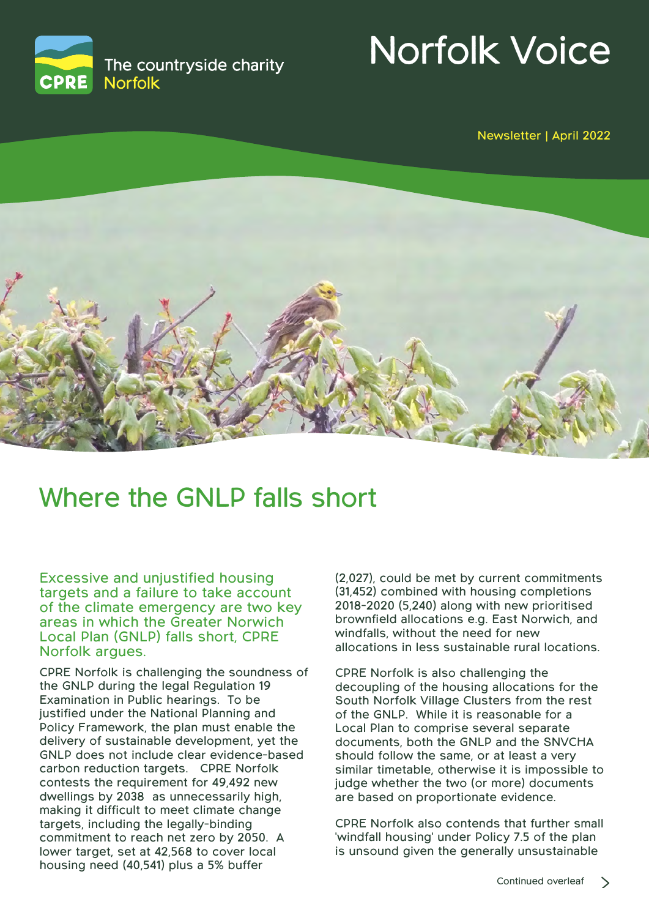

# Norfolk Voice

Newsletter | April 2022



### Where the GNLP falls short

Excessive and unjustified housing targets and a failure to take account of the climate emergency are two key areas in which the Greater Norwich Local Plan (GNLP) falls short, CPRE Norfolk argues.

CPRE Norfolk is challenging the soundness of the GNLP during the legal Regulation 19 Examination in Public hearings. To be justified under the National Planning and Policy Framework, the plan must enable the delivery of sustainable development, yet the GNLP does not include clear evidence-based carbon reduction targets. CPRE Norfolk contests the requirement for 49,492 new dwellings by 2038 as unnecessarily high, making it difficult to meet climate change targets, including the legally-binding commitment to reach net zero by 2050. A lower target, set at 42,568 to cover local housing need (40,541) plus a 5% buffer

(2,027), could be met by current commitments (31,452) combined with housing completions 2018-2020 (5,240) along with new prioritised brownfield allocations e.g. East Norwich, and windfalls, without the need for new allocations in less sustainable rural locations.

CPRE Norfolk is also challenging the decoupling of the housing allocations for the South Norfolk Village Clusters from the rest of the GNLP. While it is reasonable for a Local Plan to comprise several separate documents, both the GNLP and the SNVCHA should follow the same, or at least a very similar timetable, otherwise it is impossible to judge whether the two (or more) documents are based on proportionate evidence.

CPRE Norfolk also contends that further small 'windfall housing' under Policy 7.5 of the plan is unsound given the generally unsustainable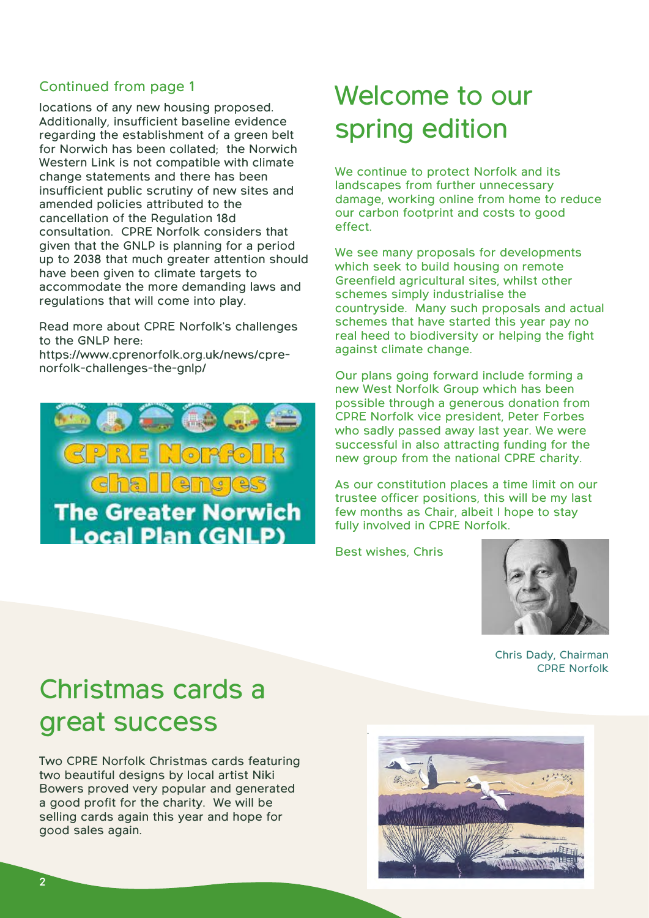#### Continued from page 1

locations of any new housing proposed. Additionally, insufficient baseline evidence regarding the establishment of a green belt for Norwich has been collated; the Norwich Western Link is not compatible with climate change statements and there has been insufficient public scrutiny of new sites and amended policies attributed to the cancellation of the Regulation 18d consultation. CPRE Norfolk considers that given that the GNLP is planning for a period up to 2038 that much greater attention should have been given to climate targets to accommodate the more demanding laws and regulations that will come into play.

Read more about CPRE Norfolk's challenges to the GNLP here:

https://www.cprenorfolk.org.uk/news/cprenorfolk-challenges-the-gnlp/



### Welcome to our spring edition

We continue to protect Norfolk and its landscapes from further unnecessary damage, working online from home to reduce our carbon footprint and costs to good effect.

We see many proposals for developments which seek to build housing on remote Greenfield agricultural sites, whilst other schemes simply industrialise the countryside. Many such proposals and actual schemes that have started this year pay no real heed to biodiversity or helping the fight against climate change.

Our plans going forward include forming a new West Norfolk Group which has been possible through a generous donation from CPRE Norfolk vice president, Peter Forbes who sadly passed away last year. We were successful in also attracting funding for the new group from the national CPRE charity.

As our constitution places a time limit on our trustee officer positions, this will be my last few months as Chair, albeit I hope to stay fully involved in CPRE Norfolk.

Best wishes, Chris



Chris Dady, Chairman CPRE Norfolk

## Christmas cards a great success

Two CPRE Norfolk Christmas cards featuring two beautiful designs by local artist Niki Bowers proved very popular and generated a good profit for the charity. We will be selling cards again this year and hope for good sales again.

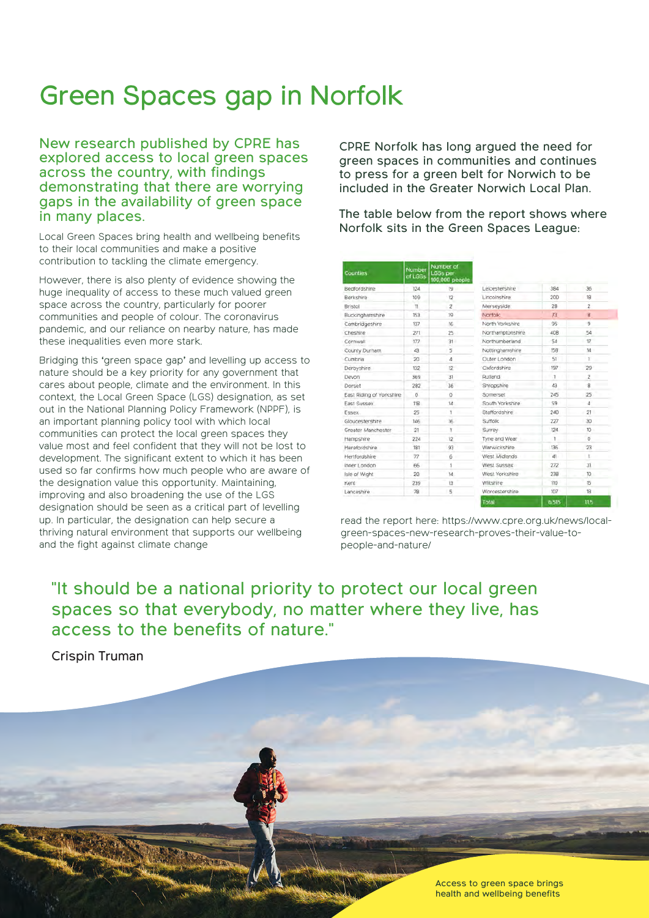### Green Spaces gap in Norfolk

New research published by CPRE has explored access to local green spaces across the country, with findings demonstrating that there are worrying gaps in the availability of green space in many places.

Local Green Spaces bring health and wellbeing benefits to their local communities and make a positive contribution to tackling the climate emergency.

However, there is also plenty of evidence showing the huge inequality of access to these much valued green space across the country, particularly for poorer communities and people of colour. The coronavirus pandemic, and our reliance on nearby nature, has made these inequalities even more stark.

Bridging this 'green space gap' and levelling up access to nature should be a key priority for any government that cares about people, climate and the environment. In this context, the Local Green Space (LGS) designation, as set out in the National Planning Policy Framework (NPPF), is an important planning policy tool with which local communities can protect the local green spaces they value most and feel confident that they will not be lost to development. The significant extent to which it has been used so far confirms how much people who are aware of the designation value this opportunity. Maintaining, improving and also broadening the use of the LGS designation should be seen as a critical part of levelling up. In particular, the designation can help secure a thriving natural environment that supports our wellbeing and the fight against climate change

CPRE Norfolk has long argued the need for green spaces in communities and continues to press for a green belt for Norwich to be included in the Greater Norwich Local Plan.

The table below from the report shows where Norfolk sits in the Green Spaces League:

| Counties                 | Number<br>of LGSs | Number of<br><b>LGSs per</b><br>100,000 people |                  |       |                  |
|--------------------------|-------------------|------------------------------------------------|------------------|-------|------------------|
| Bedfordshire             | 12 <sub>d</sub>   | 19                                             | Leicestershire   | 384   | 36 <sub>1</sub>  |
| Berkshire                | 109               | 12                                             | Lincolnshire     | 200   | 18               |
| Bristol                  | 11                | $\overline{2}$                                 | Merseyside.      | 28    | $\overline{2}$   |
| Buckinghamshire          | 153               | 19                                             | Norfolk          | 73    | $\overline{8}$   |
| Cambridgeshire           | 137               | 16                                             | North Yorkshire  | 95    | 9                |
| Cheshire                 | 271               | 25                                             | Northamptonshire | 408   | 54               |
| Cornwall                 | 177               | 31                                             | Northumberland   | 54    | 17               |
| County Durham            | 43                | 5                                              | Nottinghamshire  | 158   | 14               |
| Cumbria                  | 20                | 4                                              | Outer London     | 51    | 1                |
| Derbyshire               | 132               | 12                                             | Oxfordshire      | 197   | 29               |
| Devon                    | 369               | 31                                             | <b>Rutland</b>   | 1     | $\bar{2}$        |
| Dorset                   | 282               | 36                                             | Shropshire       | 43    | g                |
| East Riding of Yorkshire | $\alpha$          | ö                                              | Somerset         | 245   | 25               |
| East Sussex              | 11B               | 14                                             | South Yorkshire  | 59    | đ                |
| Essex                    | 25                |                                                | Staffordshire    | 240   | 21               |
| Gloucestershire          | 146               | 16                                             | Suffolk          | 227   | 30               |
| Greater Manchester       | 21                |                                                | <b>Surrey</b>    | 124   | 10 <sub>10</sub> |
| Hampshire                | 224               | 12                                             | Tyne and Wear    |       | O                |
| Herefordshire            | 181               | 93                                             | Warwickshire     | 136   | 23               |
| Hertfordshire            | 77                | 6                                              | West Midlands    | d1.   | t                |
| Inner London             | 66                |                                                | West Sussex      | 272   | 31               |
| Isle of Wight            | 20                | 14                                             | West Yorkshire   | 238   | 30 <sub>2</sub>  |
| Kent                     | 239               | 13                                             | Wiltshire        | 110   | 15               |
| Lancashire               | 78                | 5                                              | Worcestershire   | 107   | 18               |
|                          |                   |                                                | Total            | 6.515 | 11.5             |

read the report here: https://www.cpre.org.uk/news/localgreen-spaces-new-research-proves-their-value-topeople-and-nature/

"It should be a national priority to protect our local green spaces so that everybody, no matter where they live, has access to the benefits of nature."

Crispin Truman

Access to green space brings health and wellbeing benefits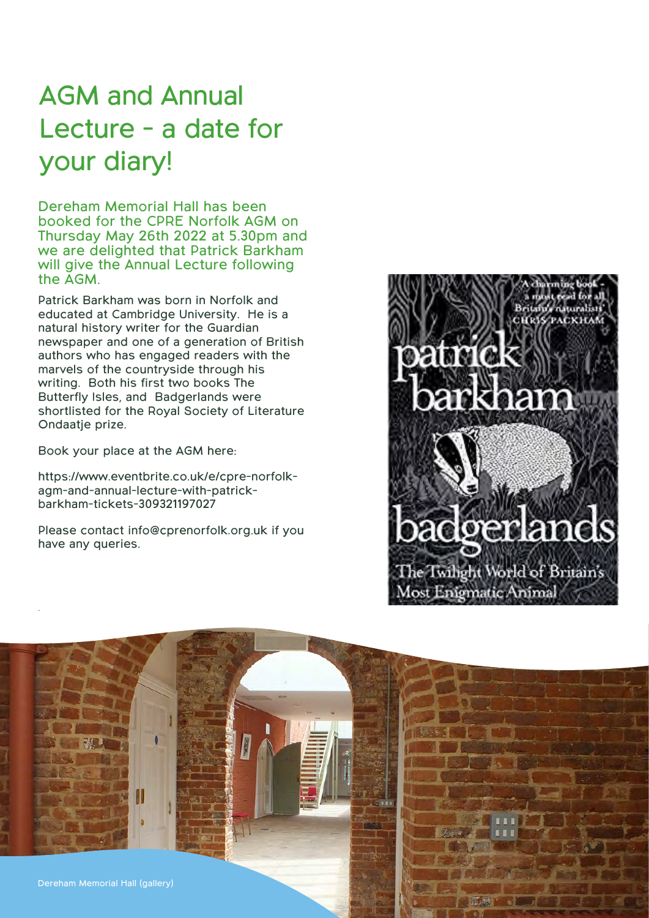# AGM and Annual Lecture - a date for your diary!

Dereham Memorial Hall has been booked for the CPRE Norfolk AGM on Thursday May 26th 2022 at 5.30pm and we are delighted that Patrick Barkham will give the Annual Lecture following the AGM.

Patrick Barkham was born in Norfolk and educated at Cambridge University. He is a natural history writer for the Guardian newspaper and one of a generation of British authors who has engaged readers with the marvels of the countryside through his writing. Both his first two books The Butterfly Isles, and Badgerlands were shortlisted for the Royal Society of Literature Ondaatie prize.

Book your place at the AGM here:

.

https://www.eventbrite.co.uk/e/cpre-norfolkagm-and-annual-lecture-with-patrickbarkham-tickets-309321197027

Please contact info@cprenorfolk.org.uk if you have any queries.



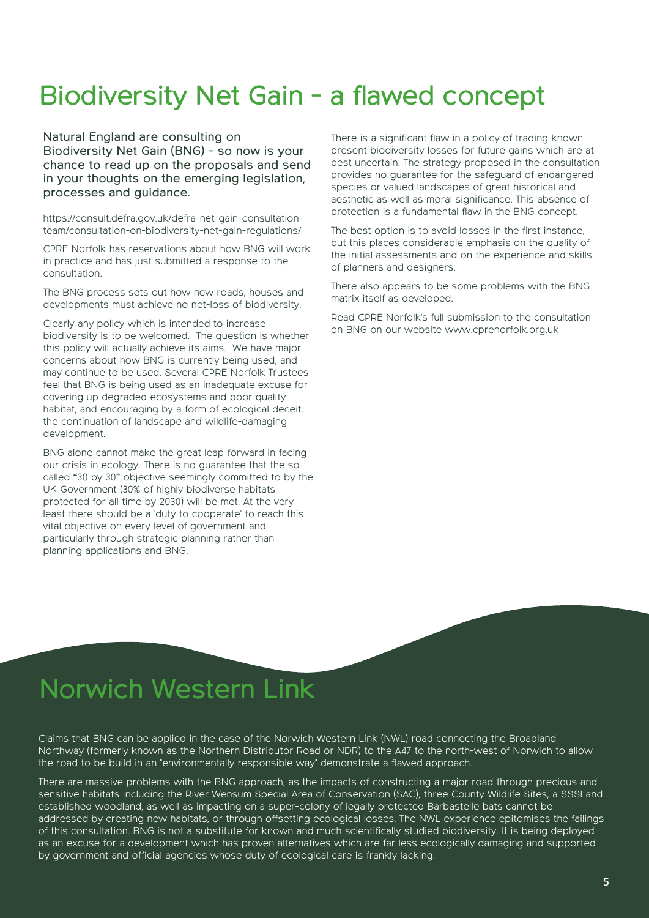# Biodiversity Net Gain - a flawed concept

Natural England are consulting on Biodiversity Net Gain (BNG) - so now is your chance to read up on the proposals and send in your thoughts on the emerging legislation, processes and guidance.

https://consult.defra.gov.uk/defra-net-gain-consultationteam/consultation-on-biodiversity-net-gain-regulations/

CPRE Norfolk has reservations about how BNG will work in practice and has just submitted a response to the consultation.

The BNG process sets out how new roads, houses and developments must achieve no net-loss of biodiversity.

Clearly any policy which is intended to increase biodiversity is to be welcomed. The question is whether this policy will actually achieve its aims. We have major concerns about how BNG is currently being used, and may continue to be used. Several CPRE Norfolk Trustees feel that BNG is being used as an inadequate excuse for covering up degraded ecosystems and poor quality habitat, and encouraging by a form of ecological deceit, the continuation of landscape and wildlife-damaging development.

BNG alone cannot make the great leap forward in facing our crisis in ecology. There is no guarantee that the socalled "30 by 30" objective seemingly committed to by the UK Government (30% of highly biodiverse habitats protected for all time by 2030) will be met. At the very least there should be a 'duty to cooperate' to reach this vital objective on every level of government and particularly through strategic planning rather than planning applications and BNG.

There is a significant flaw in a policy of trading known present biodiversity losses for future gains which are at best uncertain. The strategy proposed in the consultation provides no guarantee for the safeguard of endangered species or valued landscapes of great historical and aesthetic as well as moral significance. This absence of protection is a fundamental flaw in the BNG concept.

The best option is to avoid losses in the first instance, but this places considerable emphasis on the quality of the initial assessments and on the experience and skills of planners and designers.

There also appears to be some problems with the BNG matrix itself as developed.

Read CPRE Norfolk's full submission to the consultation on BNG on our website www.cprenorfolk.org.uk

# Norwich Western Link

Claims that BNG can be applied in the case of the Norwich Western Link (NWL) road connecting the Broadland Northway (formerly known as the Northern Distributor Road or NDR) to the A47 to the north-west of Norwich to allow the road to be build in an "environmentally responsible way" demonstrate a flawed approach.

There are massive problems with the BNG approach, as the impacts of constructing a major road through precious and sensitive habitats including the River Wensum Special Area of Conservation (SAC), three County Wildlife Sites, a SSSI and established woodland, as well as impacting on a super-colony of legally protected Barbastelle bats cannot be addressed by creating new habitats, or through offsetting ecological losses. The NWL experience epitomises the failings of this consultation. BNG is not a substitute for known and much scientifically studied biodiversity. It is being deployed as an excuse for a development which has proven alternatives which are far less ecologically damaging and supported by government and official agencies whose duty of ecological care is frankly lacking.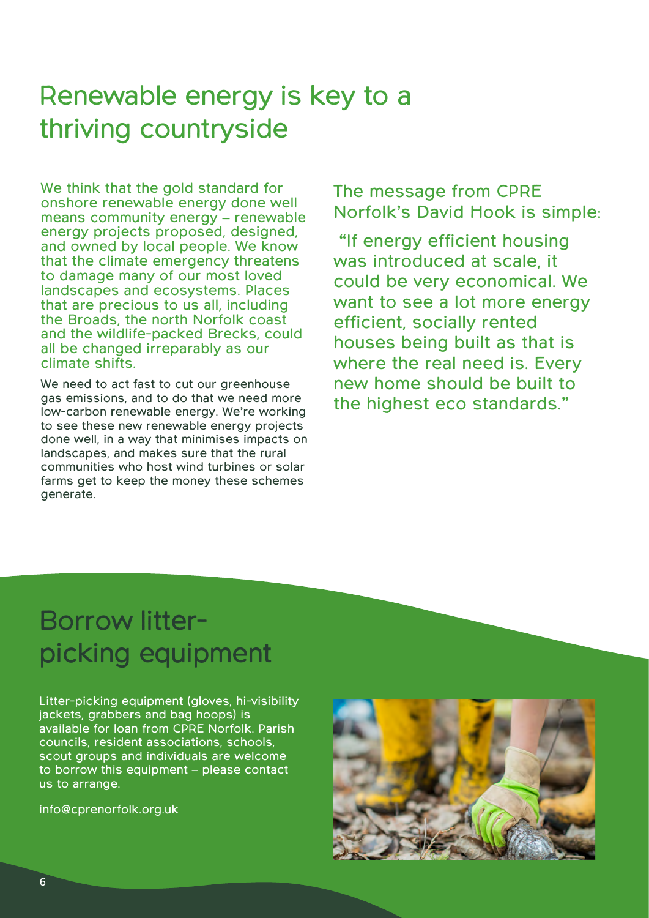# Renewable energy is key to a thriving countryside

We think that the gold standard for onshore renewable energy done well means community energy – renewable energy projects proposed, designed, and owned by local people. We know that the climate emergency threatens to damage many of our most loved landscapes and ecosystems. Places that are precious to us all, including the Broads, the north Norfolk coast and the wildlife-packed Brecks, could all be changed irreparably as our climate shifts.

We need to act fast to cut our greenhouse gas emissions, and to do that we need more low-carbon renewable energy. We're working to see these new renewable energy projects done well, in a way that minimises impacts on landscapes, and makes sure that the rural communities who host wind turbines or solar farms get to keep the money these schemes generate.

The message from CPRE Norfolk's David Hook is simple:

"If energy efficient housing was introduced at scale, it could be very economical. We want to see a lot more energy efficient, socially rented houses being built as that is where the real need is. Every new home should be built to the highest eco standards."

# Borrow litterpicking equipment

Litter-picking equipment (gloves, hi-visibility jackets, grabbers and bag hoops) is available for loan from CPRE Norfolk. Parish councils, resident associations, schools, scout groups and individuals are welcome to borrow this equipment – please contact us to arrange.

info@cprenorfolk.org.uk

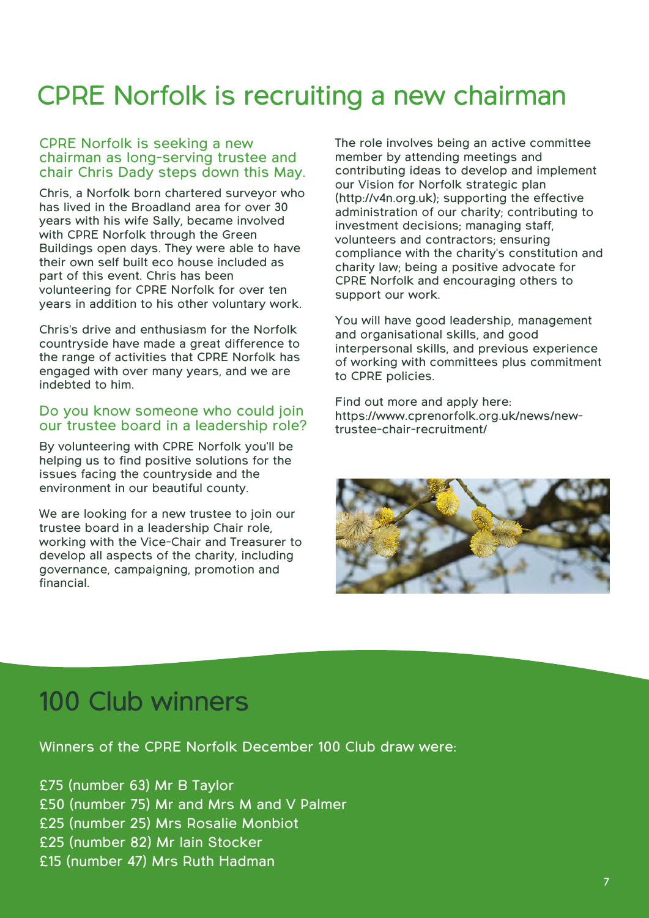# CPRE Norfolk is recruiting a new chairman

#### CPRE Norfolk is seeking a new chairman as long-serving trustee and chair Chris Dady steps down this May.

Chris, a Norfolk born chartered surveyor who has lived in the Broadland area for over 30 years with his wife Sally, became involved with CPRE Norfolk through the Green Buildings open days. They were able to have their own self built eco house included as part of this event. Chris has been volunteering for CPRE Norfolk for over ten years in addition to his other voluntary work.

Chris's drive and enthusiasm for the Norfolk countryside have made a great difference to the range of activities that CPRE Norfolk has engaged with over many years, and we are indebted to him.

#### Do you know someone who could join our trustee board in a leadership role?

By volunteering with CPRE Norfolk you'll be helping us to find positive solutions for the issues facing the countryside and the environment in our beautiful county.

We are looking for a new trustee to join our trustee board in a leadership Chair role, working with the Vice-Chair and Treasurer to develop all aspects of the charity, including governance, campaigning, promotion and financial.

The role involves being an active committee member by attending meetings and contributing ideas to develop and implement our Vision for Norfolk strategic plan (http://v4n.org.uk); supporting the effective administration of our charity; contributing to investment decisions; managing staff, volunteers and contractors; ensuring compliance with the charity's constitution and charity law; being a positive advocate for CPRE Norfolk and encouraging others to support our work.

You will have good leadership, management and organisational skills, and good interpersonal skills, and previous experience of working with committees plus commitment to CPRE policies.

Find out more and apply here: https://www.cprenorfolk.org.uk/news/newtrustee-chair-recruitment/



### 100 Club winners

Winners of the CPRE Norfolk December 100 Club draw were:

£75 (number 63) Mr B Taylor £50 (number 75) Mr and Mrs M and V Palmer £25 (number 25) Mrs Rosalie Monbiot £25 (number 82) Mr Iain Stocker £15 (number 47) Mrs Ruth Hadman